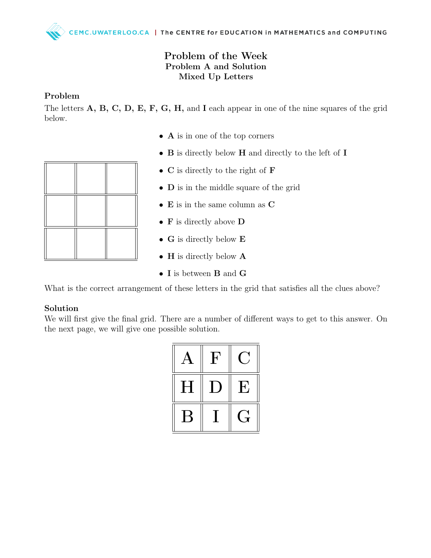## Problem of the Week Problem A and Solution Mixed Up Letters

## Problem

The letters A, B, C, D, E, F, G, H, and I each appear in one of the nine squares of the grid below.

- A is in one of the top corners
- **B** is directly below **H** and directly to the left of **I**
- C is directly to the right of **F**
- **D** is in the middle square of the grid
- E is in the same column as C
- F is directly above D
- G is directly below **E**
- **H** is directly below **A**
- I is between **B** and **G**

What is the correct arrangement of these letters in the grid that satisfies all the clues above?

## Solution

We will first give the final grid. There are a number of different ways to get to this answer. On the next page, we will give one possible solution.

| A         | ${\bf F}$      | L.           |
|-----------|----------------|--------------|
| $H_{\rm}$ | $\blacksquare$ | $\mathbf{F}$ |
|           |                |              |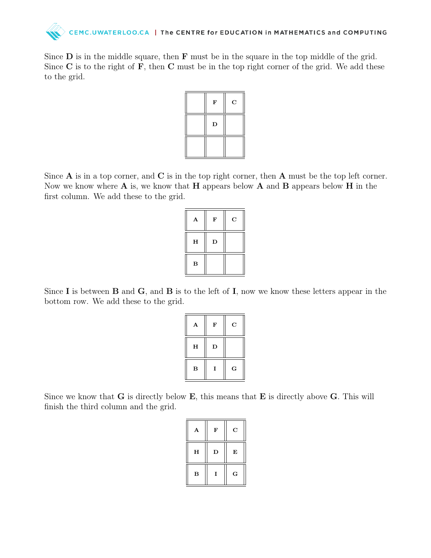

Since  $\bf{D}$  is in the middle square, then  $\bf{F}$  must be in the square in the top middle of the grid. Since  $C$  is to the right of  $F$ , then  $C$  must be in the top right corner of the grid. We add these to the grid.

| $\mathbf F$ | $\mathbf C$ |
|-------------|-------------|
| $\mathbf D$ |             |
|             |             |

Since  $A$  is in a top corner, and  $C$  is in the top right corner, then  $A$  must be the top left corner. Now we know where  $\bf{A}$  is, we know that  $\bf{H}$  appears below  $\bf{A}$  and  $\bf{B}$  appears below  $\bf{H}$  in the first column. We add these to the grid.

| A        | F | $\mathbf C$ |
|----------|---|-------------|
| H        | D |             |
| $\bf{B}$ |   |             |

Since I is between **B** and **G**, and **B** is to the left of I, now we know these letters appear in the bottom row. We add these to the grid.

| A        | F           | $\mathbf C$ |
|----------|-------------|-------------|
| H        | $\mathbf D$ |             |
| $\bf{B}$ | I           | G           |

Since we know that  $G$  is directly below  $E$ , this means that  $E$  is directly above  $G$ . This will finish the third column and the grid.

| A        | F | $\mathbf C$ |
|----------|---|-------------|
| $\bf H$  | D | E           |
| $\bf{B}$ | I | G           |